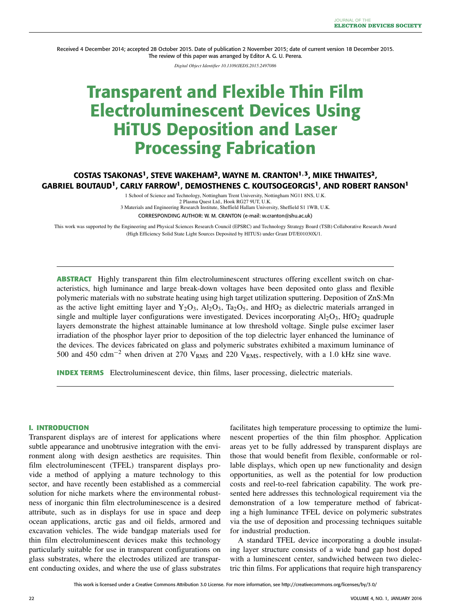Received 4 December 2014; accepted 28 October 2015. Date of publication 2 November 2015; date of current version 18 December 2015. The review of this paper was arranged by Editor A. G. U. Perera.

*Digital Object Identifier 10.1109/JEDS.2015.2497086*

# **Transparent and Flexible Thin Film Electroluminescent Devices Using HiTUS Deposition and Laser Processing Fabrication**

# **COSTAS TSAKONAS1, STEVE WAKEHAM2, WAYNE M. CRANTON1***,***3, MIKE THWAITES2, GABRIEL BOUTAUD1, CARLY FARROW1, DEMOSTHENES C. KOUTSOGEORGIS1, AND ROBERT RANSON<sup>1</sup>**

1 School of Science and Technology, Nottingham Trent University, Nottingham NG11 8NS, U.K. 2 Plasma Quest Ltd., Hook RG27 9UT, U.K. 3 Materials and Engineering Research Institute, Sheffield Hallam University, Sheffield S1 1WB, U.K.

CORRESPONDING AUTHOR: W. M. CRANTON (e-mail: w.cranton@shu.ac.uk)

This work was supported by the Engineering and Physical Sciences Research Council (EPSRC) and Technology Strategy Board (TSB) Collaborative Research Award (High Efficiency Solid State Light Sources Deposited by HITUS) under Grant DT/E01030X/1.

**ABSTRACT** Highly transparent thin film electroluminescent structures offering excellent switch on characteristics, high luminance and large break-down voltages have been deposited onto glass and flexible polymeric materials with no substrate heating using high target utilization sputtering. Deposition of ZnS:Mn as the active light emitting layer and  $Y_2O_3$ ,  $A_2O_3$ ,  $Ta_2O_5$ , and  $HfO_2$  as dielectric materials arranged in single and multiple layer configurations were investigated. Devices incorporating  $Al_2O_3$ , HfO<sub>2</sub> quadruple layers demonstrate the highest attainable luminance at low threshold voltage. Single pulse excimer laser irradiation of the phosphor layer prior to deposition of the top dielectric layer enhanced the luminance of the devices. The devices fabricated on glass and polymeric substrates exhibited a maximum luminance of 500 and 450 cdm<sup>-2</sup> when driven at 270 V<sub>RMS</sub> and 220 V<sub>RMS</sub>, respectively, with a 1.0 kHz sine wave.

**INDEX TERMS** Electroluminescent device, thin films, laser processing, dielectric materials.

### **I. INTRODUCTION**

Transparent displays are of interest for applications where subtle appearance and unobtrusive integration with the environment along with design aesthetics are requisites. Thin film electroluminescent (TFEL) transparent displays provide a method of applying a mature technology to this sector, and have recently been established as a commercial solution for niche markets where the environmental robustness of inorganic thin film electroluminescence is a desired attribute, such as in displays for use in space and deep ocean applications, arctic gas and oil fields, armored and excavation vehicles. The wide bandgap materials used for thin film electroluminescent devices make this technology particularly suitable for use in transparent configurations on glass substrates, where the electrodes utilized are transparent conducting oxides, and where the use of glass substrates

facilitates high temperature processing to optimize the luminescent properties of the thin film phosphor. Application areas yet to be fully addressed by transparent displays are those that would benefit from flexible, conformable or rollable displays, which open up new functionality and design opportunities, as well as the potential for low production costs and reel-to-reel fabrication capability. The work presented here addresses this technological requirement via the demonstration of a low temperature method of fabricating a high luminance TFEL device on polymeric substrates via the use of deposition and processing techniques suitable for industrial production.

A standard TFEL device incorporating a double insulating layer structure consists of a wide band gap host doped with a luminescent center, sandwiched between two dielectric thin films. For applications that require high transparency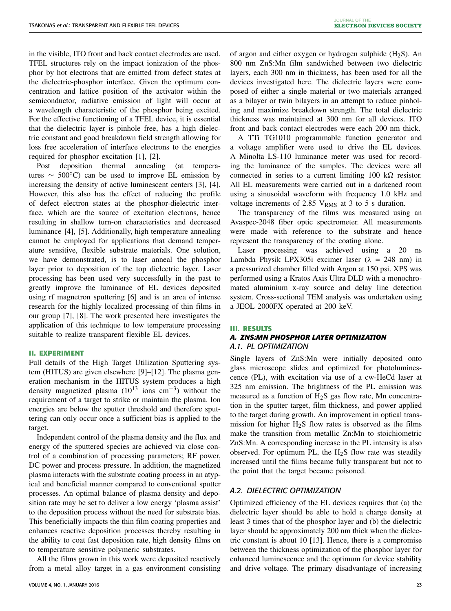in the visible, ITO front and back contact electrodes are used. TFEL structures rely on the impact ionization of the phosphor by hot electrons that are emitted from defect states at the dielectric-phosphor interface. Given the optimum concentration and lattice position of the activator within the semiconductor, radiative emission of light will occur at a wavelength characteristic of the phosphor being excited. For the effective functioning of a TFEL device, it is essential that the dielectric layer is pinhole free, has a high dielectric constant and good breakdown field strength allowing for loss free acceleration of interface electrons to the energies required for phosphor excitation [1], [2].

Post deposition thermal annealing (at temperatures  $\sim$  500 $^{\circ}$ C) can be used to improve EL emission by increasing the density of active luminescent centers [3], [4]. However, this also has the effect of reducing the profile of defect electron states at the phosphor-dielectric interface, which are the source of excitation electrons, hence resulting in shallow turn-on characteristics and decreased luminance [4], [5]. Additionally, high temperature annealing cannot be employed for applications that demand temperature sensitive, flexible substrate materials. One solution, we have demonstrated, is to laser anneal the phosphor layer prior to deposition of the top dielectric layer. Laser processing has been used very successfully in the past to greatly improve the luminance of EL devices deposited using rf magnetron sputtering [6] and is an area of intense research for the highly localized processing of thin films in our group [7], [8]. The work presented here investigates the application of this technique to low temperature processing suitable to realize transparent flexible EL devices.

#### **II. EXPERIMENT**

Full details of the High Target Utilization Sputtering system (HITUS) are given elsewhere [9]–[12]. The plasma generation mechanism in the HITUS system produces a high density magnetized plasma  $(10^{13} \text{ ions cm}^{-3})$  without the requirement of a target to strike or maintain the plasma. Ion energies are below the sputter threshold and therefore sputtering can only occur once a sufficient bias is applied to the target.

Independent control of the plasma density and the flux and energy of the sputtered species are achieved via close control of a combination of processing parameters; RF power, DC power and process pressure. In addition, the magnetized plasma interacts with the substrate coating process in an atypical and beneficial manner compared to conventional sputter processes. An optimal balance of plasma density and deposition rate may be set to deliver a low energy 'plasma assist' to the deposition process without the need for substrate bias. This beneficially impacts the thin film coating properties and enhances reactive deposition processes thereby resulting in the ability to coat fast deposition rate, high density films on to temperature sensitive polymeric substrates.

All the films grown in this work were deposited reactively from a metal alloy target in a gas environment consisting of argon and either oxygen or hydrogen sulphide  $(H_2S)$ . An 800 nm ZnS:Mn film sandwiched between two dielectric layers, each 300 nm in thickness, has been used for all the devices investigated here. The dielectric layers were composed of either a single material or two materials arranged as a bilayer or twin bilayers in an attempt to reduce pinholing and maximize breakdown strength. The total dielectric thickness was maintained at 300 nm for all devices. ITO front and back contact electrodes were each 200 nm thick.

A TTi TG1010 programmable function generator and a voltage amplifier were used to drive the EL devices. A Minolta LS-110 luminance meter was used for recording the luminance of the samples. The devices were all connected in series to a current limiting 100  $k\Omega$  resistor. All EL measurements were carried out in a darkened room using a sinusoidal waveform with frequency 1.0 kHz and voltage increments of 2.85  $V<sub>RMS</sub>$  at 3 to 5 s duration.

The transparency of the films was measured using an Avaspec-2048 fiber optic spectrometer. All measurements were made with reference to the substrate and hence represent the transparency of the coating alone.

Laser processing was achieved using a 20 ns Lambda Physik LPX305i excimer laser ( $\lambda$  = 248 nm) in a pressurized chamber filled with Argon at 150 psi. XPS was performed using a Kratos Axis Ultra DLD with a monochromated aluminium x-ray source and delay line detection system. Cross-sectional TEM analysis was undertaken using a JEOL 2000FX operated at 200 keV.

### **III. RESULTS**

## *A. ZNS:MN PHOSPHOR LAYER OPTIMIZATION A.1. PL OPTIMIZATION*

Single layers of ZnS:Mn were initially deposited onto glass microscope slides and optimized for photoluminescence (PL), with excitation via use of a cw-HeCd laser at 325 nm emission. The brightness of the PL emission was measured as a function of  $H_2S$  gas flow rate, Mn concentration in the sputter target, film thickness, and power applied to the target during growth. An improvement in optical transmission for higher  $H_2S$  flow rates is observed as the films make the transition from metallic Zn:Mn to stoichiometric ZnS:Mn. A corresponding increase in the PL intensity is also observed. For optimum PL, the  $H_2S$  flow rate was steadily increased until the films became fully transparent but not to the point that the target became poisoned.

### *A.2. DIELECTRIC OPTIMIZATION*

Optimized efficiency of the EL devices requires that (a) the dielectric layer should be able to hold a charge density at least 3 times that of the phosphor layer and (b) the dielectric layer should be approximately 200 nm thick when the dielectric constant is about 10 [13]. Hence, there is a compromise between the thickness optimization of the phosphor layer for enhanced luminescence and the optimum for device stability and drive voltage. The primary disadvantage of increasing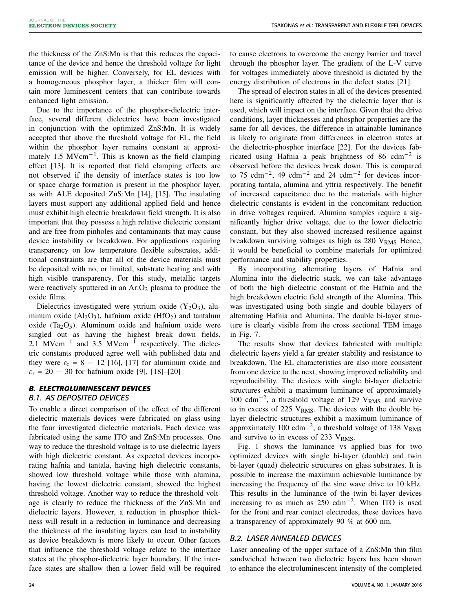the thickness of the ZnS:Mn is that this reduces the capacitance of the device and hence the threshold voltage for light emission will be higher. Conversely, for EL devices with a homogeneous phosphor layer, a thicker film will contain more luminescent centers that can contribute towards enhanced light emission.

Due to the importance of the phosphor-dielectric interface, several different dielectrics have been investigated in conjunction with the optimized ZnS:Mn. It is widely accepted that above the threshold voltage for EL, the field within the phosphor layer remains constant at approximately 1.5  $\text{MVcm}^{-1}$ . This is known as the field clamping effect [13]. It is reported that field clamping effects are not observed if the density of interface states is too low or space charge formation is present in the phosphor layer, as with ALE deposited ZnS:Mn [14], [15]. The insulating layers must support any additional applied field and hence must exhibit high electric breakdown field strength. It is also important that they possess a high relative dielectric constant and are free from pinholes and contaminants that may cause device instability or breakdown. For applications requiring transparency on low temperature flexible substrates, additional constraints are that all of the device materials must be deposited with no, or limited, substrate heating and with high visible transparency. For this study, metallic targets were reactively sputtered in an  $Ar:O<sub>2</sub>$  plasma to produce the oxide films.

Dielectrics investigated were yttrium oxide  $(Y_2O_3)$ , aluminum oxide  $(Al_2O_3)$ , hafnium oxide  $(HfO_2)$  and tantalum oxide (Ta<sub>2</sub>O<sub>5</sub>). Aluminum oxide and hafnium oxide were singled out as having the highest break down fields, 2.1 MVcm<sup> $-1$ </sup> and 3.5 MVcm<sup> $-1$ </sup> respectively. The dielectric constants produced agree well with published data and they were  $\varepsilon_r = 8 - 12$  [16], [17] for aluminum oxide and  $\varepsilon$ <sub>r</sub> = 20 – 30 for hafnium oxide [9], [18]–[20]

# *B. ELECTROLUMINESCENT DEVICES B.1. AS DEPOSITED DEVICES*

To enable a direct comparison of the effect of the different dielectric materials devices were fabricated on glass using the four investigated dielectric materials. Each device was fabricated using the same ITO and ZnS:Mn processes. One way to reduce the threshold voltage is to use dielectric layers with high dielectric constant. As expected devices incorporating hafnia and tantala, having high dielectric constants, showed low threshold voltage while those with alumina, having the lowest dielectric constant, showed the highest threshold voltage. Another way to reduce the threshold voltage is clearly to reduce the thickness of the ZnS:Mn and dielectric layers. However, a reduction in phosphor thickness will result in a reduction in luminance and decreasing the thickness of the insulating layers can lead to instability as device breakdown is more likely to occur. Other factors that influence the threshold voltage relate to the interface states at the phosphor-dielectric layer boundary. If the interface states are shallow then a lower field will be required to cause electrons to overcome the energy barrier and travel through the phosphor layer. The gradient of the L-V curve for voltages immediately above threshold is dictated by the energy distribution of electrons in the defect states [21].

The spread of electron states in all of the devices presented here is significantly affected by the dielectric layer that is used, which will impact on the interface. Given that the drive conditions, layer thicknesses and phosphor properties are the same for all devices, the difference in attainable luminance is likely to originate from differences in electron states at the dielectric-phosphor interface [22]. For the devices fabricated using Hafnia a peak brightness of 86  $cdm^{-2}$  is observed before the devices break down. This is compared to 75 cdm<sup>-2</sup>, 49 cdm<sup>-2</sup> and 24 cdm<sup>-2</sup> for devices incorporating tantala, alumina and yttria respectively. The benefit of increased capacitance due to the materials with higher dielectric constants is evident in the concomitant reduction in drive voltages required. Alumina samples require a significantly higher drive voltage, due to the lower dielectric constant, but they also showed increased resilience against breakdown surviving voltages as high as  $280$  V<sub>RMS</sub> Hence, it would be beneficial to combine materials for optimized performance and stability properties.

By incorporating alternating layers of Hafnia and Alumina into the dielectric stack, we can take advantage of both the high dielectric constant of the Hafnia and the high breakdown electric field strength of the Alumina. This was investigated using both single and double bilayers of alternating Hafnia and Alumina. The double bi-layer structure is clearly visible from the cross sectional TEM image in Fig. 7.

The results show that devices fabricated with multiple dielectric layers yield a far greater stability and resistance to breakdown. The EL characteristics are also more consistent from one device to the next, showing improved reliability and reproducibility. The devices with single bi-layer dielectric structures exhibit a maximum luminance of approximately  $100 \text{ cdm}^{-2}$ , a threshold voltage of 129 V<sub>RMS</sub> and survive to in excess of 225  $V<sub>RMS</sub>$ . The devices with the double bilayer dielectric structures exhibit a maximum luminance of approximately 100  $\text{cdm}^{-2}$ , a threshold voltage of 138 V<sub>RMS</sub> and survive to in excess of  $233$  V<sub>RMS</sub>.

Fig. 1 shows the luminance vs applied bias for two optimized devices with single bi-layer (double) and twin bi-layer (quad) dielectric structures on glass substrates. It is possible to increase the maximum achievable luminance by increasing the frequency of the sine wave drive to 10 kHz. This results in the luminance of the twin bi-layer devices increasing to as much as  $250 \text{ cdm}^{-2}$ . When ITO is used for the front and rear contact electrodes, these devices have a transparency of approximately 90 % at 600 nm.

# *B.2. LASER ANNEALED DEVICES*

Laser annealing of the upper surface of a ZnS:Mn thin film sandwiched between two dielectric layers has been shown to enhance the electroluminescent intensity of the completed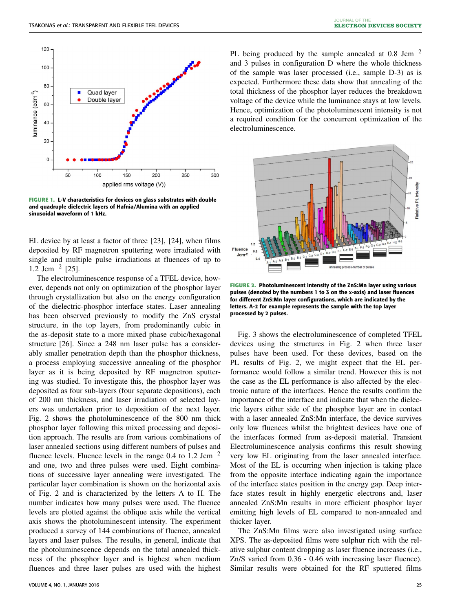

**FIGURE 1. L-V characteristics for devices on glass substrates with double and quadruple dielectric layers of Hafnia/Alumina with an applied sinusoidal waveform of 1 kHz.**

EL device by at least a factor of three [23], [24], when films deposited by RF magnetron sputtering were irradiated with single and multiple pulse irradiations at fluences of up to  $1.2$  Jcm<sup>-2</sup> [25].

The electroluminescence response of a TFEL device, however, depends not only on optimization of the phosphor layer through crystallization but also on the energy configuration of the dielectric-phosphor interface states. Laser annealing has been observed previously to modify the ZnS crystal structure, in the top layers, from predominantly cubic in the as-deposit state to a more mixed phase cubic/hexagonal structure [26]. Since a 248 nm laser pulse has a considerably smaller penetration depth than the phosphor thickness, a process employing successive annealing of the phosphor layer as it is being deposited by RF magnetron sputtering was studied. To investigate this, the phosphor layer was deposited as four sub-layers (four separate depositions), each of 200 nm thickness, and laser irradiation of selected layers was undertaken prior to deposition of the next layer. Fig. 2 shows the photoluminescence of the 800 nm thick phosphor layer following this mixed processing and deposition approach. The results are from various combinations of laser annealed sections using different numbers of pulses and fluence levels. Fluence levels in the range  $0.4$  to  $1.2$  Jcm<sup>-2</sup> and one, two and three pulses were used. Eight combinations of successive layer annealing were investigated. The particular layer combination is shown on the horizontal axis of Fig. 2 and is characterized by the letters A to H. The number indicates how many pulses were used. The fluence levels are plotted against the oblique axis while the vertical axis shows the photoluminescent intensity. The experiment produced a survey of 144 combinations of fluence, annealed layers and laser pulses. The results, in general, indicate that the photoluminescence depends on the total annealed thickness of the phosphor layer and is highest when medium fluences and three laser pulses are used with the highest

PL being produced by the sample annealed at  $0.8 \text{ Jcm}^{-2}$ and 3 pulses in configuration D where the whole thickness of the sample was laser processed (i.e., sample D-3) as is expected. Furthermore these data show that annealing of the total thickness of the phosphor layer reduces the breakdown voltage of the device while the luminance stays at low levels. Hence, optimization of the photoluminescent intensity is not a required condition for the concurrent optimization of the electroluminescence.



**FIGURE 2. Photoluminescent intensity of the ZnS:Mn layer using various pulses (denoted by the numbers 1 to 3 on the x-axis) and laser fluences for different ZnS:Mn layer configurations, which are indicated by the letters. A-2 for example represents the sample with the top layer processed by 2 pulses.**

Fig. 3 shows the electroluminescence of completed TFEL devices using the structures in Fig. 2 when three laser pulses have been used. For these devices, based on the PL results of Fig. 2, we might expect that the EL performance would follow a similar trend. However this is not the case as the EL performance is also affected by the electronic nature of the interfaces. Hence the results confirm the importance of the interface and indicate that when the dielectric layers either side of the phosphor layer are in contact with a laser annealed ZnS:Mn interface, the device survives only low fluences whilst the brightest devices have one of the interfaces formed from as-deposit material. Transient Electroluminescence analysis confirms this result showing very low EL originating from the laser annealed interface. Most of the EL is occurring when injection is taking place from the opposite interface indicating again the importance of the interface states position in the energy gap. Deep interface states result in highly energetic electrons and, laser annealed ZnS:Mn results in more efficient phosphor layer emitting high levels of EL compared to non-annealed and thicker layer.

The ZnS:Mn films were also investigated using surface XPS. The as-deposited films were sulphur rich with the relative sulphur content dropping as laser fluence increases (i.e., Zn/S varied from 0.36 - 0.46 with increasing laser fluence). Similar results were obtained for the RF sputtered films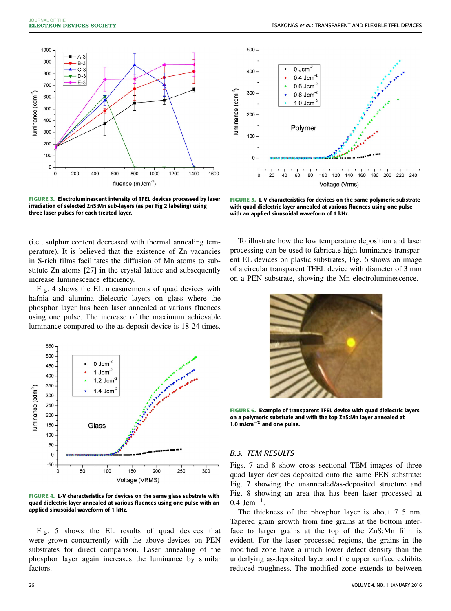

**FIGURE 3. Electroluminescent intensity of TFEL devices processed by laser irradiation of selected ZnS:Mn sub-layers (as per Fig 2 labeling) using three laser pulses for each treated layer.**

(i.e., sulphur content decreased with thermal annealing temperature). It is believed that the existence of Zn vacancies in S-rich films facilitates the diffusion of Mn atoms to substitute Zn atoms [27] in the crystal lattice and subsequently increase luminescence efficiency.

Fig. 4 shows the EL measurements of quad devices with hafnia and alumina dielectric layers on glass where the phosphor layer has been laser annealed at various fluences using one pulse. The increase of the maximum achievable luminance compared to the as deposit device is 18-24 times.



**FIGURE 4. L-V characteristics for devices on the same glass substrate with quad dielectric layer annealed at various fluences using one pulse with an applied sinusoidal waveform of 1 kHz.**

Fig. 5 shows the EL results of quad devices that were grown concurrently with the above devices on PEN substrates for direct comparison. Laser annealing of the phosphor layer again increases the luminance by similar factors.



**FIGURE 5. L-V characteristics for devices on the same polymeric substrate with quad dielectric layer annealed at various fluences using one pulse with an applied sinusoidal waveform of 1 kHz.**

To illustrate how the low temperature deposition and laser processing can be used to fabricate high luminance transparent EL devices on plastic substrates, Fig. 6 shows an image of a circular transparent TFEL device with diameter of 3 mm on a PEN substrate, showing the Mn electroluminescence.



**FIGURE 6. Example of transparent TFEL device with quad dielectric layers on a polymeric substrate and with the top ZnS:Mn layer annealed at 1.0 mJcm−<sup>2</sup> and one pulse.**

## *B.3. TEM RESULTS*

Figs. 7 and 8 show cross sectional TEM images of three quad layer devices deposited onto the same PEN substrate: Fig. 7 showing the unannealed/as-deposited structure and Fig. 8 showing an area that has been laser processed at 0.4 Jcm<sup>-1</sup>.

The thickness of the phosphor layer is about 715 nm. Tapered grain growth from fine grains at the bottom interface to larger grains at the top of the ZnS:Mn film is evident. For the laser processed regions, the grains in the modified zone have a much lower defect density than the underlying as-deposited layer and the upper surface exhibits reduced roughness. The modified zone extends to between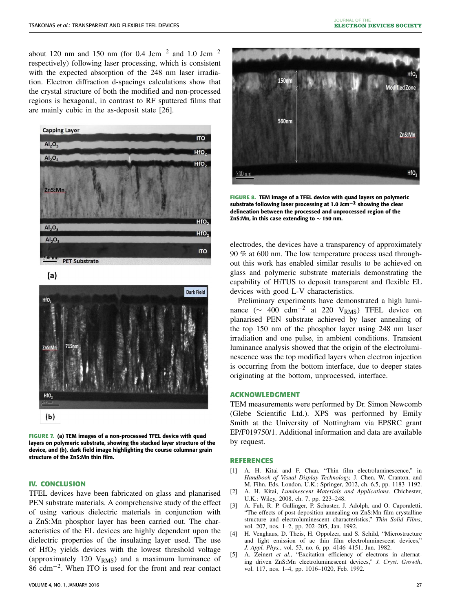about 120 nm and 150 nm (for 0.4 Jcm<sup>-2</sup> and 1.0 Jcm<sup>-2</sup> respectively) following laser processing, which is consistent with the expected absorption of the 248 nm laser irradiation. Electron diffraction d-spacings calculations show that the crystal structure of both the modified and non-processed regions is hexagonal, in contrast to RF sputtered films that are mainly cubic in the as-deposit state [26].



 $(a)$ 



**FIGURE 7. (a) TEM images of a non-processed TFEL device with quad layers on polymeric substrate, showing the stacked layer structure of the device, and (b), dark field image highlighting the course columnar grain structure of the ZnS:Mn thin film.**

## **IV. CONCLUSION**

TFEL devices have been fabricated on glass and planarised PEN substrate materials. A comprehensive study of the effect of using various dielectric materials in conjunction with a ZnS:Mn phosphor layer has been carried out. The characteristics of the EL devices are highly dependent upon the dielectric properties of the insulating layer used. The use of  $HfO<sub>2</sub>$  yields devices with the lowest threshold voltage (approximately 120  $V<sub>RMS</sub>$ ) and a maximum luminance of 86 cdm−2. When ITO is used for the front and rear contact



**FIGURE 8. TEM image of a TFEL device with quad layers on polymeric substrate following laser processing at 1.0 Jcm−<sup>2</sup> showing the clear delineation between the processed and unprocessed region of the ZnS:Mn, in this case extending to ∼ 150 nm.**

electrodes, the devices have a transparency of approximately 90 % at 600 nm. The low temperature process used throughout this work has enabled similar results to be achieved on glass and polymeric substrate materials demonstrating the capability of HiTUS to deposit transparent and flexible EL devices with good L-V characteristics.

Preliminary experiments have demonstrated a high luminance ( $\sim$  400 cdm<sup>-2</sup> at 220 V<sub>RMS</sub>) TFEL device on planarised PEN substrate achieved by laser annealing of the top 150 nm of the phosphor layer using 248 nm laser irradiation and one pulse, in ambient conditions. Transient luminance analysis showed that the origin of the electroluminescence was the top modified layers when electron injection is occurring from the bottom interface, due to deeper states originating at the bottom, unprocessed, interface.

## **ACKNOWLEDGMENT**

TEM measurements were performed by Dr. Simon Newcomb (Glebe Scientific Ltd.). XPS was performed by Emily Smith at the University of Nottingham via EPSRC grant EP/F019750/1. Additional information and data are available by request.

### **REFERENCES**

- [1] A. H. Kitai and F. Chan, "Thin film electroluminescence," in *Handbook of Visual Display Technology,* J. Chen, W. Cranton, and M. Fihn, Eds. London, U.K.: Springer, 2012, ch. 6.5, pp. 1183–1192.
- [2] A. H. Kitai, *Luminescent Materials and Applications*. Chichester, U.K.: Wiley, 2008, ch. 7, pp. 223–248.
- [3] A. Fuh, R. P. Gallinger, P. Schuster, J. Adolph, and O. Caporaletti, "The effects of post-deposition annealing on ZnS:Mn film crystalline structure and electroluminescent characteristics," *Thin Solid Films*, vol. 207, nos. 1–2, pp. 202–205, Jan. 1992.
- [4] H. Venghaus, D. Theis, H. Oppolzer, and S. Schild, "Microstructure and light emission of ac thin film electroluminescent devices,' *J. Appl. Phys.*, vol. 53, no. 6, pp. 4146–4151, Jun. 1982.
- [5] A. Zeinert *et al.*, "Excitation efficiency of electrons in alternating driven ZnS:Mn electroluminescent devices," *J. Cryst. Growth*, vol. 117, nos. 1–4, pp. 1016–1020, Feb. 1992.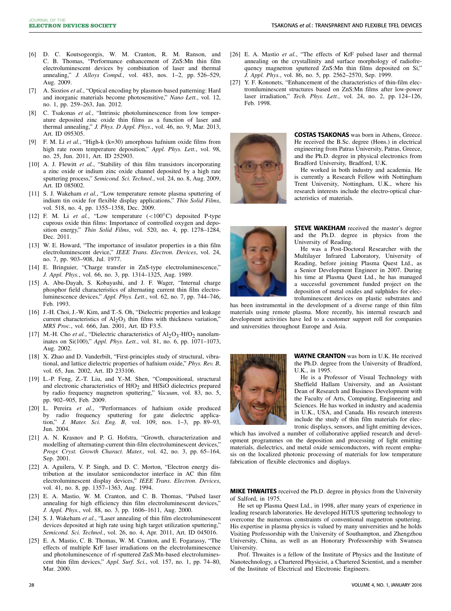- [6] D. C. Koutsogeorgis, W. M. Cranton, R. M. Ranson, and C. B. Thomas, "Performance enhancement of ZnS:Mn thin film electroluminescent devices by combination of laser and thermal annealing," *J. Alloys Compd.*, vol. 483, nos. 1–2, pp. 526–529, Aug. 2009.
- [7] A. Siozios *et al.*, "Optical encoding by plasmon-based patterning: Hard and inorganic materials become photosensitive," *Nano Lett.*, vol. 12, no. 1, pp. 259–263, Jan. 2012.
- [8] C. Tsakonas et al., "Intrinsic photoluminescence from low temperature deposited zinc oxide thin films as a function of laser and thermal annealing," *J. Phys. D Appl. Phys.*, vol. 46, no. 9, Mar. 2013, Art. ID 095305.
- [9] F. M. Li *et al.*, "High-k (k=30) amorphous hafnium oxide films from high rate room temperature deposition," *Appl. Phys. Lett.*, vol. 98, no. 25, Jun. 2011, Art. ID 252903.
- [10] A. J. Flewitt *et al.*, "Stability of thin film transistors incorporating a zinc oxide or indium zinc oxide channel deposited by a high rate sputtering process," *Semicond. Sci. Technol.*, vol. 24, no. 8, Aug. 2009, Art. ID 085002.
- [11] S. J. Wakeham *et al.*, "Low temperature remote plasma sputtering of indium tin oxide for flexible display applications," *Thin Solid Films*, vol. 518, no. 4, pp. 1355–1358, Dec. 2009.
- [12] F. M. Li et al., "Low temperature (<100°C) deposited P-type cuprous oxide thin films: Importance of controlled oxygen and deposition energy," *Thin Solid Films*, vol. 520, no. 4, pp. 1278–1284, Dec. 2011.
- [13] W. E. Howard, "The importance of insulator properties in a thin film electroluminescent device," *IEEE Trans. Electron. Devices*, vol. 24, no. 7, pp. 903–908, Jul. 1977.
- [14] E. Bringuier, "Charge transfer in ZnS-type electroluminescence," *J. Appl. Phys.*, vol. 66, no. 3, pp. 1314–1325, Aug. 1989.
- [15] A. Abu-Dayah, S. Kobayashi, and J. F. Wager, "Internal charge phosphor field characteristics of alternating current thin film electroluminescence devices," *Appl. Phys. Lett*., vol. 62, no. 7, pp. 744–746, Feb. 1993.
- [16] J.-H. Choi, J.-W. Kim, and T.-S. Oh, "Dielectric properties and leakage current characteristics of  $A1_2O_3$  thin films with thickness variation," *MRS Proc.*, vol. 666, Jan. 2001, Art. ID F3.5.
- [17] M.-H. Cho *et al.*, "Dielectric characteristics of Al<sub>2</sub>O<sub>3</sub>-HfO<sub>2</sub> nanolaminates on Si(100)," *Appl. Phys. Lett.*, vol. 81, no. 6, pp. 1071–1073, Aug. 2002.
- [18] X. Zhao and D. Vanderbilt, "First-principles study of structural, vibrational, and lattice dielectric properties of hafnium oxide," *Phys. Rev. B*, vol. 65, Jun. 2002, Art. ID 233106.
- [19] L.-P. Feng, Z.-T. Liu, and Y.-M. Shen, "Compositional, structural and electronic characteristics of HfO<sub>2</sub> and HfSiO dielectrics prepared by radio frequency magnetron sputtering," *Vacuum*, vol. 83, no. 5, pp. 902–905, Feb. 2009.
- [20] L. Pereira *et al.*, "Performances of hafnium oxide produced by radio frequency sputtering for gate dielectric application," *J. Mater. Sci. Eng. B*, vol. 109, nos. 1–3, pp. 89–93, Jun. 2004.
- [21] A. N. Krasnov and P. G. Hofstra, "Growth, characterization and modelling of alternating-current thin-film electroluminescent devices," *Progr. Cryst. Growth Charact. Mater.*, vol. 42, no. 3, pp. 65–164, Sep. 2001.
- [22] A. Aguilera, V. P. Singh, and D. C. Morton, "Electron energy distribution at the insulator semiconductor interface in AC thin film electroluminescent display devices," *IEEE Trans. Electron. Devices*, vol. 41, no. 8, pp. 1357–1363, Aug. 1994.
- [23] E. A. Mastio, W. M. Cranton, and C. B. Thomas, "Pulsed laser annealing for high efficiency thin film electroluminescent devices," *J. Appl. Phys.*, vol. 88, no. 3, pp. 1606–1611, Aug. 2000.
- [24] S. J. Wakeham *et al.*, "Laser annealing of thin film electroluminescent devices deposited at high rate using high target utilization sputtering," *Semicond. Sci. Technol.*, vol. 26, no. 4, Apr. 2011, Art. ID 045016.
- [25] E. A. Mastio, C. B. Thomas, W. M. Cranton, and E. Fogarassy, "The effects of multiple KrF laser irradiations on the electroluminescence and photoluminescence of rf-sputtered ZnS:Mn-based electroluminescent thin film devices," *Appl. Surf. Sci.*, vol. 157, no. 1, pp. 74–80, Mar. 2000.
- [26] E. A. Mastio *et al.*, "The effects of KrF pulsed laser and thermal annealing on the crystallinity and surface morphology of radiofrequency magnetron sputtered ZnS:Mn thin films deposited on Si," *J. Appl. Phys.*, vol. 86, no. 5, pp. 2562–2570, Sep. 1999.
- [27] Y. F. Kononets, "Enhancement of the characteristics of thin-film electromluminescent structures based on ZnS:Mn films after low-power laser irradiation," *Tech. Phys. Lett.*, vol. 24, no. 2, pp. 124–126, Feb. 1998.



**COSTAS TSAKONAS** was born in Athens, Greece. He received the B.Sc. degree (Hons.) in electrical engineering from Patras University, Patras, Greece, and the Ph.D. degree in physical electronics from Bradford University, Bradford, U.K.

He worked in both industry and academia. He is currently a Research Fellow with Nottingham Trent University, Nottingham, U.K., where his research interests include the electro-optical characteristics of materials.



**STEVE WAKEHAM** received the master's degree and the Ph.D. degree in physics from the University of Reading.

He was a Post-Doctoral Researcher with the Multilayer Infrared Laboratory, University of Reading, before joining Plasma Quest Ltd., as a Senior Development Engineer in 2007. During his time at Plasma Quest Ltd., he has managed a successful government funded project on the deposition of metal oxides and sulphides for electroluminescent devices on plastic substrates and

has been instrumental in the development of a diverse range of thin film materials using remote plasma. More recently, his internal research and development activities have led to a customer support roll for companies and universities throughout Europe and Asia.



**WAYNE CRANTON** was born in U.K. He received the Ph.D. degree from the University of Bradford, U.K., in 1995.

He is a Professor of Visual Technology with Sheffield Hallam University, and an Assistant Dean of Research and Business Development with the Faculty of Arts, Computing, Engineering and Sciences. He has worked in industry and academia in U.K., USA, and Canada. His research interests include the study of thin film materials for electronic displays, sensors, and light emitting devices,

which has involved a number of collaborative applied research and development programmes on the deposition and processing of light emitting materials, dielectrics, and metal oxide semiconductors, with recent emphasis on the localized photonic processing of materials for low temperature fabrication of flexible electronics and displays.

**MIKE THWAITES** received the Ph.D. degree in physics from the University of Salford, in 1975.

He set up Plasma Quest Ltd., in 1998, after many years of experience in leading research laboratories. He developed HiTUS sputtering technology to overcome the numerous constraints of conventional magnetron sputtering. His expertise in plasma physics is valued by many universities and he holds Visiting Professorship with the University of Southampton, and Zhengzhou University, China, as well as an Honorary Professorship with Swansea University.

Prof. Thwaites is a fellow of the Institute of Physics and the Institute of Nanotechnology, a Chartered Physicist, a Chartered Scientist, and a member of the Institute of Electrical and Electronic Engineers.